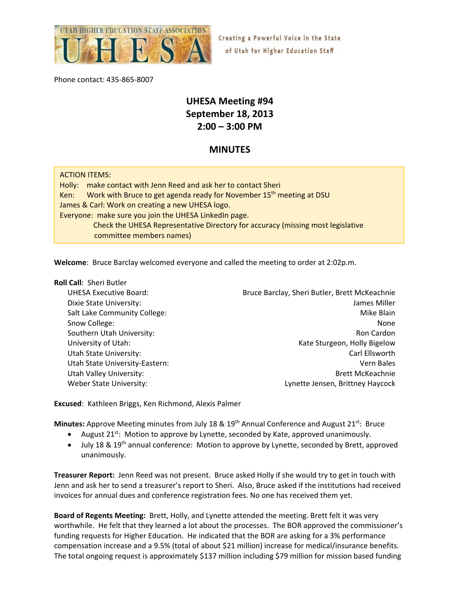

Creating a Powerful Voice in the State of Utah for Higher Education Staff

Phone contact: 435‐865‐8007

# **UHESA Meeting #94 September 18, 2013 2:00 – 3:00 PM**

# **MINUTES**

| <b>ACTION ITEMS:</b>                                                                     |
|------------------------------------------------------------------------------------------|
| Holly: make contact with Jenn Reed and ask her to contact Sheri                          |
| Work with Bruce to get agenda ready for November 15 <sup>th</sup> meeting at DSU<br>Ken: |
| James & Carl: Work on creating a new UHESA logo.                                         |
| Everyone: make sure you join the UHESA LinkedIn page.                                    |
| Check the UHESA Representative Directory for accuracy (missing most legislative          |
| committee members names)                                                                 |

**Welcome**: Bruce Barclay welcomed everyone and called the meeting to order at 2:02p.m.

#### **Roll Call**: Sheri Butler

UHESA Executive Board: Bruce Barclay, Sheri Butler, Brett McKeachnie Dixie State University: James Miller Salt Lake Community College:  $\blacksquare$ Snow College: None Note 2014 12:00 None 2014 12:00 None 2014 12:00 None 2014 12:00 None 2014 12:00 None 2014 1 Southern Utah University: **Accord 2012 The Cardon** Southern Utah University: University of Utah:  $\blacksquare$  The Sturgeon, Holly Bigelow Utah State University:  $\Box$  The Carl Ellsworth Carl Ellsworth Carl Ellsworth Carl Ellsworth Carl Ellsworth Carl Ellsworth Carl Ellsworth Carl Ellsworth Carl Ellsworth Carl Ellsworth Carl Ellsworth Carl Ellsworth Carl Ellsw Utah State University‐Eastern: Vern Bales Utah Valley University: **Brett McKeachnie** Utah Valley Utah Valley Utah Valley University: Weber State University:  $\qquad \qquad$  Lynette Jensen, Brittney Haycock

**Excused**: Kathleen Briggs, Ken Richmond, Alexis Palmer

Minutes: Approve Meeting minutes from July 18 & 19<sup>th</sup> Annual Conference and August 21<sup>st</sup>: Bruce

- August  $21^{st}$ : Motion to approve by Lynette, seconded by Kate, approved unanimously.
- $\bullet$  July 18 & 19<sup>th</sup> annual conference: Motion to approve by Lynette, seconded by Brett, approved unanimously.

**Treasurer Report:** Jenn Reed was not present. Bruce asked Holly if she would try to get in touch with Jenn and ask her to send a treasurer's report to Sheri. Also, Bruce asked if the institutions had received invoices for annual dues and conference registration fees. No one has received them yet.

**Board of Regents Meeting:** Brett, Holly, and Lynette attended the meeting. Brett felt it was very worthwhile. He felt that they learned a lot about the processes. The BOR approved the commissioner's funding requests for Higher Education. He indicated that the BOR are asking for a 3% performance compensation increase and a 9.5% (total of about \$21 million) increase for medical/insurance benefits. The total ongoing request is approximately \$137 million including \$79 million for mission based funding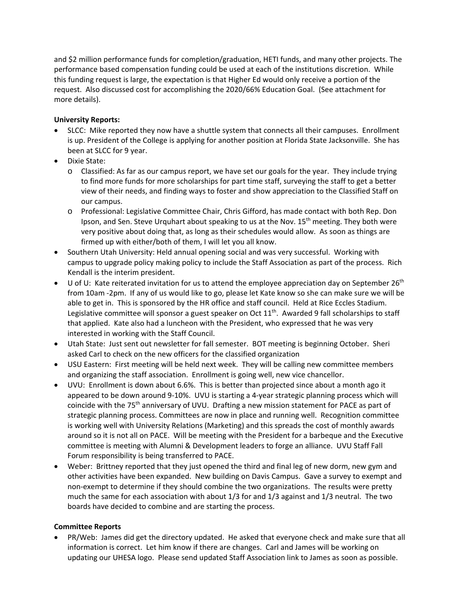and \$2 million performance funds for completion/graduation, HETI funds, and many other projects. The performance based compensation funding could be used at each of the institutions discretion. While this funding request is large, the expectation is that Higher Ed would only receive a portion of the request. Also discussed cost for accomplishing the 2020/66% Education Goal. (See attachment for more details).

### **University Reports:**

- SLCC: Mike reported they now have a shuttle system that connects all their campuses. Enrollment is up. President of the College is applying for another position at Florida State Jacksonville. She has been at SLCC for 9 year.
- Dixie State:
	- o Classified: As far as our campus report, we have set our goals for the year. They include trying to find more funds for more scholarships for part time staff, surveying the staff to get a better view of their needs, and finding ways to foster and show appreciation to the Classified Staff on our campus.
	- o Professional: Legislative Committee Chair, Chris Gifford, has made contact with both Rep. Don Ipson, and Sen. Steve Urquhart about speaking to us at the Nov. 15<sup>th</sup> meeting. They both were very positive about doing that, as long as their schedules would allow. As soon as things are firmed up with either/both of them, I will let you all know.
- Southern Utah University: Held annual opening social and was very successful. Working with campus to upgrade policy making policy to include the Staff Association as part of the process. Rich Kendall is the interim president.
- $\bullet$  U of U: Kate reiterated invitation for us to attend the employee appreciation day on September 26<sup>th</sup> from 10am ‐2pm. If any of us would like to go, please let Kate know so she can make sure we will be able to get in. This is sponsored by the HR office and staff council. Held at Rice Eccles Stadium. Legislative committee will sponsor a guest speaker on Oct 11<sup>th</sup>. Awarded 9 fall scholarships to staff that applied. Kate also had a luncheon with the President, who expressed that he was very interested in working with the Staff Council.
- Utah State: Just sent out newsletter for fall semester. BOT meeting is beginning October. Sheri asked Carl to check on the new officers for the classified organization
- USU Eastern: First meeting will be held next week. They will be calling new committee members and organizing the staff association. Enrollment is going well, new vice chancellor.
- UVU: Enrollment is down about 6.6%. This is better than projected since about a month ago it appeared to be down around 9‐10%. UVU is starting a 4‐year strategic planning process which will coincide with the 75<sup>th</sup> anniversary of UVU. Drafting a new mission statement for PACE as part of strategic planning process. Committees are now in place and running well. Recognition committee is working well with University Relations (Marketing) and this spreads the cost of monthly awards around so it is not all on PACE. Will be meeting with the President for a barbeque and the Executive committee is meeting with Alumni & Development leaders to forge an alliance. UVU Staff Fall Forum responsibility is being transferred to PACE.
- Weber: Brittney reported that they just opened the third and final leg of new dorm, new gym and other activities have been expanded. New building on Davis Campus. Gave a survey to exempt and non‐exempt to determine if they should combine the two organizations. The results were pretty much the same for each association with about 1/3 for and 1/3 against and 1/3 neutral. The two boards have decided to combine and are starting the process.

## **Committee Reports**

 PR/Web: James did get the directory updated. He asked that everyone check and make sure that all information is correct. Let him know if there are changes. Carl and James will be working on updating our UHESA logo. Please send updated Staff Association link to James as soon as possible.